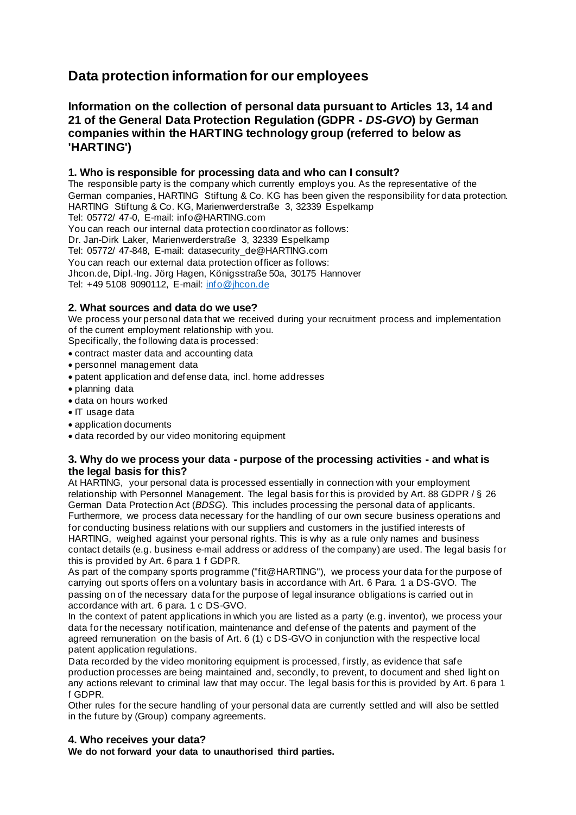# **Data protection information for our employees**

# **Information on the collection of personal data pursuant to Articles 13, 14 and 21 of the General Data Protection Regulation (GDPR -** *DS-GVO***) by German companies within the HARTING technology group (referred to below as 'HARTING')**

## **1. Who is responsible for processing data and who can I consult?**

The responsible party is the company which currently employs you. As the representative of the German companies, HARTING Stiftung & Co. KG has been given the responsibility for data protection. HARTING Stiftung & Co. KG, Marienwerderstraße 3, 32339 Espelkamp Tel: 05772/ 47-0, E-mail: info@HARTING.com You can reach our internal data protection coordinator as follows: Dr. Jan-Dirk Laker, Marienwerderstraße 3, 32339 Espelkamp Tel: 05772/ 47-848, E-mail: datasecurity\_de@HARTING.com You can reach our external data protection officer as follows: Jhcon.de, Dipl.-Ing. Jörg Hagen, Königsstraße 50a, 30175 Hannover Tel: +49 5108 9090112, E-mail: [info@jhcon.de](mailto:info@jhcon.de)

### **2. What sources and data do we use?**

We process your personal data that we received during your recruitment process and implementation of the current employment relationship with you.

Specifically, the following data is processed:

- contract master data and accounting data
- personnel management data
- patent application and defense data, incl. home addresses
- planning data
- data on hours worked
- IT usage data
- application documents
- data recorded by our video monitoring equipment

#### **3. Why do we process your data - purpose of the processing activities - and what is the legal basis for this?**

At HARTING, your personal data is processed essentially in connection with your employment relationship with Personnel Management. The legal basis for this is provided by Art. 88 GDPR / § 26 German Data Protection Act (*BDSG*). This includes processing the personal data of applicants. Furthermore, we process data necessary for the handling of our own secure business operations and for conducting business relations with our suppliers and customers in the justified interests of HARTING, weighed against your personal rights. This is why as a rule only names and business contact details (e.g. business e-mail address or address of the company) are used. The legal basis for this is provided by Art. 6 para 1 f GDPR.

As part of the company sports programme ("fit@HARTING"), we process your data for the purpose of carrying out sports offers on a voluntary basis in accordance with Art. 6 Para. 1 a DS-GVO. The passing on of the necessary data for the purpose of legal insurance obligations is carried out in accordance with art. 6 para. 1 c DS-GVO.

In the context of patent applications in which you are listed as a party (e.g. inventor), we process your data for the necessary notification, maintenance and defense of the patents and payment of the agreed remuneration on the basis of Art. 6 (1) c DS-GVO in conjunction with the respective local patent application regulations.

Data recorded by the video monitoring equipment is processed, firstly, as evidence that safe production processes are being maintained and, secondly, to prevent, to document and shed light on any actions relevant to criminal law that may occur. The legal basis for this is provided by Art. 6 para 1 f GDPR.

Other rules for the secure handling of your personal data are currently settled and will also be settled in the future by (Group) company agreements.

#### **4. Who receives your data?**

**We do not forward your data to unauthorised third parties.**